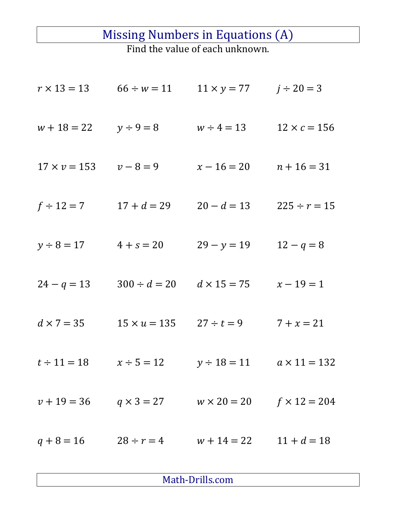## Missing Numbers in Equations (A)

Find the value of each unknown.

| $r \times 13 = 13$  | $66 \div w = 11$    | $11 \times y = 77$ | $j \div 20 = 3$     |
|---------------------|---------------------|--------------------|---------------------|
| $w + 18 = 22$       | $y \div 9 = 8$      | $w \div 4 = 13$    | $12 \times c = 156$ |
| $17 \times v = 153$ | $v - 8 = 9$         | $x - 16 = 20$      | $n + 16 = 31$       |
| $f \div 12 = 7$     | $17 + d = 29$       | $20 - d = 13$      | $225 \div r = 15$   |
| $y \div 8 = 17$     | $4 + s = 20$        | $29 - y = 19$      | $12 - q = 8$        |
| $24 - q = 13$       | $300 \div d = 20$   | $d \times 15 = 75$ | $x - 19 = 1$        |
| $d \times 7 = 35$   | $15 \times u = 135$ | $27 \div t = 9$    | $7 + x = 21$        |
| $t \div 11 = 18$    | $x \div 5 = 12$     | $y \div 18 = 11$   | $a \times 11 = 132$ |
| $v + 19 = 36$       | $q \times 3 = 27$   | $w \times 20 = 20$ | $f \times 12 = 204$ |
| $q + 8 = 16$        | $28 \div r = 4$     | $w + 14 = 22$      | $11 + d = 18$       |
|                     |                     |                    |                     |

Math-Drills.com